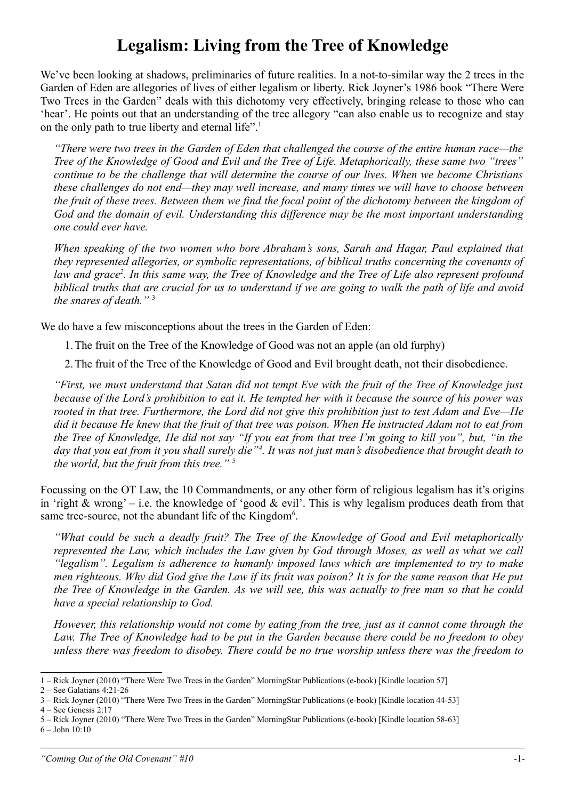## **Legalism: Living from the Tree of Knowledge**

We've been looking at shadows, preliminaries of future realities. In a not-to-similar way the 2 trees in the Garden of Eden are allegories of lives of either legalism or liberty. Rick Joyner's 1986 book "There Were Two Trees in the Garden" deals with this dichotomy very effectively, bringing release to those who can 'hear'. He points out that an understanding of the tree allegory "can also enable us to recognize and stay on the only path to true liberty and eternal life".<sup>[1](#page-0-0)</sup>

*"There were two trees in the Garden of Eden that challenged the course of the entire human race—the Tree of the Knowledge of Good and Evil and the Tree of Life. Metaphorically, these same two "trees" continue to be the challenge that will determine the course of our lives. When we become Christians these challenges do not end—they may well increase, and many times we will have to choose between the fruit of these trees. Between them we find the focal point of the dichotomy between the kingdom of God and the domain of evil. Understanding this difference may be the most important understanding one could ever have.*

*When speaking of the two women who bore Abraham's sons, Sarah and Hagar, Paul explained that they represented allegories, or symbolic representations, of biblical truths concerning the covenants of law and grace[2](#page-0-1) . In this same way, the Tree of Knowledge and the Tree of Life also represent profound biblical truths that are crucial for us to understand if we are going to walk the path of life and avoid the snares of death."* [3](#page-0-2)

We do have a few misconceptions about the trees in the Garden of Eden:

1.The fruit on the Tree of the Knowledge of Good was not an apple (an old furphy)

2.The fruit of the Tree of the Knowledge of Good and Evil brought death, not their disobedience.

*"First, we must understand that Satan did not tempt Eve with the fruit of the Tree of Knowledge just because of the Lord's prohibition to eat it. He tempted her with it because the source of his power was rooted in that tree. Furthermore, the Lord did not give this prohibition just to test Adam and Eve—He did it because He knew that the fruit of that tree was poison. When He instructed Adam not to eat from the Tree of Knowledge, He did not say "If you eat from that tree I'm going to kill you", but, "in the day that you eat from it you shall surely die"[4](#page-0-3) . It was not just man's disobedience that brought death to the world, but the fruit from this tree."* [5](#page-0-4)

Focussing on the OT Law, the 10 Commandments, or any other form of religious legalism has it's origins in 'right  $\&$  wrong' – i.e. the knowledge of 'good  $\&$  evil'. This is why legalism produces death from that same tree-source, not the abundant life of the Kingdom<sup>[6](#page-0-5)</sup>.

*"What could be such a deadly fruit? The Tree of the Knowledge of Good and Evil metaphorically represented the Law, which includes the Law given by God through Moses, as well as what we call "legalism". Legalism is adherence to humanly imposed laws which are implemented to try to make men righteous. Why did God give the Law if its fruit was poison? It is for the same reason that He put the Tree of Knowledge in the Garden. As we will see, this was actually to free man so that he could have a special relationship to God.*

*However, this relationship would not come by eating from the tree, just as it cannot come through the Law. The Tree of Knowledge had to be put in the Garden because there could be no freedom to obey unless there was freedom to disobey. There could be no true worship unless there was the freedom to*

<span id="page-0-0"></span><sup>1 –</sup> Rick Joyner (2010) "There Were Two Trees in the Garden" MorningStar Publications (e-book) [Kindle location 57]

<span id="page-0-1"></span><sup>2 –</sup> See Galatians 4:21-26

<span id="page-0-2"></span><sup>3 –</sup> Rick Joyner (2010) "There Were Two Trees in the Garden" MorningStar Publications (e-book) [Kindle location 44-53]

<span id="page-0-3"></span><sup>4 –</sup> See Genesis 2:17

<span id="page-0-4"></span><sup>5 –</sup> Rick Joyner (2010) "There Were Two Trees in the Garden" MorningStar Publications (e-book) [Kindle location 58-63]

<span id="page-0-5"></span><sup>6 –</sup> John 10:10